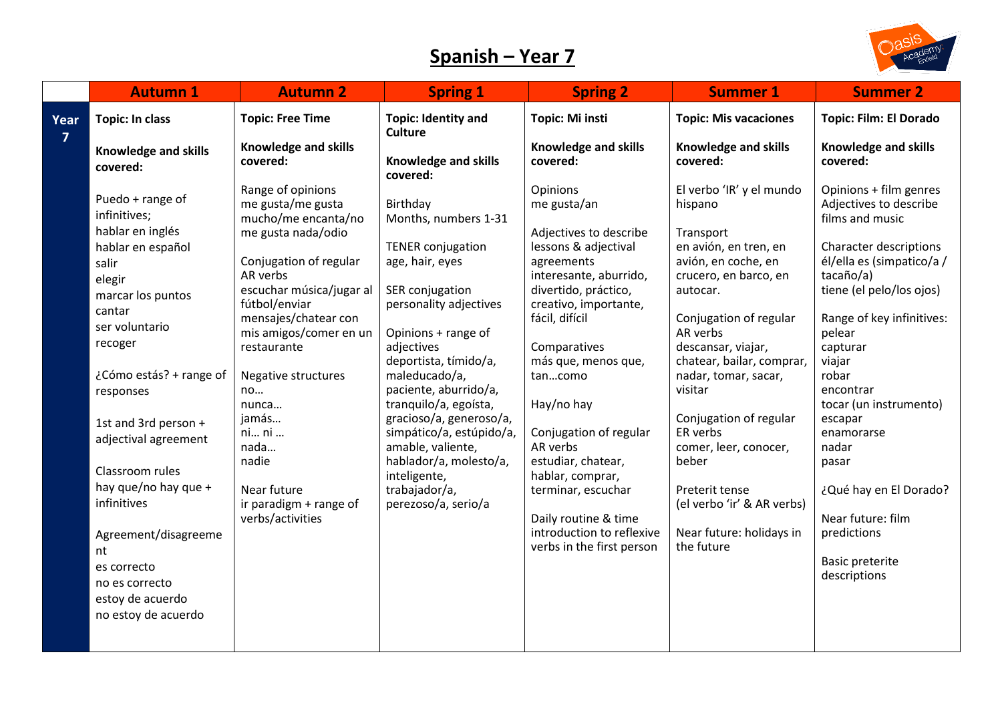## **Spanish – Year 7**



|                | <b>Autumn 1</b>                                                                                                                                                                                                                                                                                                                          | <b>Autumn 2</b>                                                                                                                                                                                                                                                                                                                                                               | <b>Spring 1</b>                                                                                                                                                                                                                                                                                                                                                                                                                         | <b>Spring 2</b>                                                                                                                                                                                                                                                                                                                                                                                                                              | <b>Summer 1</b>                                                                                                                                                                                                                                                                                                                                                                                                                     | <b>Summer 2</b>                                                                                                                                                                                                                                                                                                                                                                           |
|----------------|------------------------------------------------------------------------------------------------------------------------------------------------------------------------------------------------------------------------------------------------------------------------------------------------------------------------------------------|-------------------------------------------------------------------------------------------------------------------------------------------------------------------------------------------------------------------------------------------------------------------------------------------------------------------------------------------------------------------------------|-----------------------------------------------------------------------------------------------------------------------------------------------------------------------------------------------------------------------------------------------------------------------------------------------------------------------------------------------------------------------------------------------------------------------------------------|----------------------------------------------------------------------------------------------------------------------------------------------------------------------------------------------------------------------------------------------------------------------------------------------------------------------------------------------------------------------------------------------------------------------------------------------|-------------------------------------------------------------------------------------------------------------------------------------------------------------------------------------------------------------------------------------------------------------------------------------------------------------------------------------------------------------------------------------------------------------------------------------|-------------------------------------------------------------------------------------------------------------------------------------------------------------------------------------------------------------------------------------------------------------------------------------------------------------------------------------------------------------------------------------------|
| Year           | <b>Topic: In class</b>                                                                                                                                                                                                                                                                                                                   | <b>Topic: Free Time</b>                                                                                                                                                                                                                                                                                                                                                       | <b>Topic: Identity and</b><br><b>Culture</b>                                                                                                                                                                                                                                                                                                                                                                                            | Topic: Mi insti                                                                                                                                                                                                                                                                                                                                                                                                                              | <b>Topic: Mis vacaciones</b>                                                                                                                                                                                                                                                                                                                                                                                                        | <b>Topic: Film: El Dorado</b>                                                                                                                                                                                                                                                                                                                                                             |
| $\overline{7}$ | <b>Knowledge and skills</b><br>covered:                                                                                                                                                                                                                                                                                                  | Knowledge and skills<br>covered:                                                                                                                                                                                                                                                                                                                                              | Knowledge and skills                                                                                                                                                                                                                                                                                                                                                                                                                    | <b>Knowledge and skills</b><br>covered:                                                                                                                                                                                                                                                                                                                                                                                                      | Knowledge and skills<br>covered:                                                                                                                                                                                                                                                                                                                                                                                                    | <b>Knowledge and skills</b><br>covered:                                                                                                                                                                                                                                                                                                                                                   |
|                | Puedo + range of<br>infinitives;<br>hablar en inglés<br>hablar en español<br>salir<br>elegir<br>marcar los puntos<br>cantar<br>ser voluntario<br>recoger<br>¿Cómo estás? + range of<br>responses<br>1st and 3rd person +<br>adjectival agreement<br>Classroom rules<br>hay que/no hay que +<br>infinitives<br>Agreement/disagreeme<br>nt | Range of opinions<br>me gusta/me gusta<br>mucho/me encanta/no<br>me gusta nada/odio<br>Conjugation of regular<br>AR verbs<br>escuchar música/jugar al<br>fútbol/enviar<br>mensajes/chatear con<br>mis amigos/comer en un<br>restaurante<br>Negative structures<br>no<br>nunca<br>jamás<br>ni ni<br>nada<br>nadie<br>Near future<br>ir paradigm + range of<br>verbs/activities | covered:<br>Birthday<br>Months, numbers 1-31<br><b>TENER conjugation</b><br>age, hair, eyes<br>SER conjugation<br>personality adjectives<br>Opinions + range of<br>adjectives<br>deportista, tímido/a,<br>maleducado/a,<br>paciente, aburrido/a,<br>tranquilo/a, egoísta,<br>gracioso/a, generoso/a,<br>simpático/a, estúpido/a,<br>amable, valiente,<br>hablador/a, molesto/a,<br>inteligente,<br>trabajador/a,<br>perezoso/a, serio/a | Opinions<br>me gusta/an<br>Adjectives to describe<br>lessons & adjectival<br>agreements<br>interesante, aburrido,<br>divertido, práctico,<br>creativo, importante,<br>fácil, difícil<br>Comparatives<br>más que, menos que,<br>tancomo<br>Hay/no hay<br>Conjugation of regular<br>AR verbs<br>estudiar, chatear,<br>hablar, comprar,<br>terminar, escuchar<br>Daily routine & time<br>introduction to reflexive<br>verbs in the first person | El verbo 'IR' y el mundo<br>hispano<br>Transport<br>en avión, en tren, en<br>avión, en coche, en<br>crucero, en barco, en<br>autocar.<br>Conjugation of regular<br>AR verbs<br>descansar, viajar,<br>chatear, bailar, comprar,<br>nadar, tomar, sacar,<br>visitar<br>Conjugation of regular<br>ER verbs<br>comer, leer, conocer,<br>beber<br>Preterit tense<br>(el verbo 'ir' & AR verbs)<br>Near future: holidays in<br>the future | Opinions + film genres<br>Adjectives to describe<br>films and music<br>Character descriptions<br>él/ella es (simpatico/a /<br>tacaño/a)<br>tiene (el pelo/los ojos)<br>Range of key infinitives:<br>pelear<br>capturar<br>viajar<br>robar<br>encontrar<br>tocar (un instrumento)<br>escapar<br>enamorarse<br>nadar<br>pasar<br>¿Qué hay en El Dorado?<br>Near future: film<br>predictions |
|                | es correcto<br>no es correcto<br>estoy de acuerdo<br>no estoy de acuerdo                                                                                                                                                                                                                                                                 |                                                                                                                                                                                                                                                                                                                                                                               |                                                                                                                                                                                                                                                                                                                                                                                                                                         |                                                                                                                                                                                                                                                                                                                                                                                                                                              |                                                                                                                                                                                                                                                                                                                                                                                                                                     | <b>Basic preterite</b><br>descriptions                                                                                                                                                                                                                                                                                                                                                    |
|                |                                                                                                                                                                                                                                                                                                                                          |                                                                                                                                                                                                                                                                                                                                                                               |                                                                                                                                                                                                                                                                                                                                                                                                                                         |                                                                                                                                                                                                                                                                                                                                                                                                                                              |                                                                                                                                                                                                                                                                                                                                                                                                                                     |                                                                                                                                                                                                                                                                                                                                                                                           |